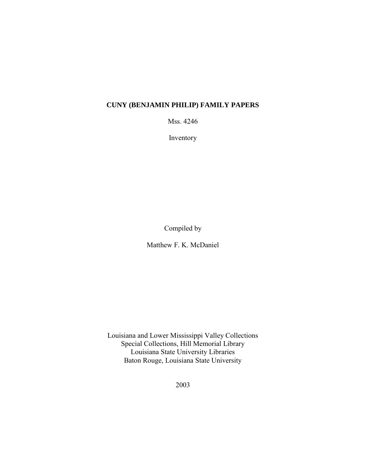# **CUNY (BENJAMIN PHILIP) FAMILY PAPERS**

Mss. 4246

Inventory

Compiled by

Matthew F. K. McDaniel

Louisiana and Lower Mississippi Valley Collections Special Collections, Hill Memorial Library Louisiana State University Libraries Baton Rouge, Louisiana State University

2003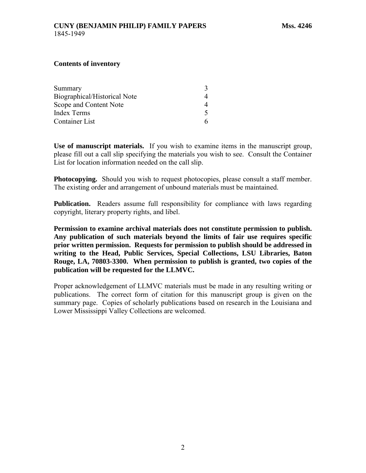#### **Contents of inventory**

| Summary                             |  |
|-------------------------------------|--|
| <b>Biographical/Historical Note</b> |  |
| Scope and Content Note              |  |
| Index Terms                         |  |
| Container List                      |  |

**Use of manuscript materials.** If you wish to examine items in the manuscript group, please fill out a call slip specifying the materials you wish to see. Consult the Container List for location information needed on the call slip.

**Photocopying.** Should you wish to request photocopies, please consult a staff member. The existing order and arrangement of unbound materials must be maintained.

**Publication.** Readers assume full responsibility for compliance with laws regarding copyright, literary property rights, and libel.

**Permission to examine archival materials does not constitute permission to publish. Any publication of such materials beyond the limits of fair use requires specific prior written permission. Requests for permission to publish should be addressed in writing to the Head, Public Services, Special Collections, LSU Libraries, Baton Rouge, LA, 70803-3300. When permission to publish is granted, two copies of the publication will be requested for the LLMVC.** 

Proper acknowledgement of LLMVC materials must be made in any resulting writing or publications. The correct form of citation for this manuscript group is given on the summary page. Copies of scholarly publications based on research in the Louisiana and Lower Mississippi Valley Collections are welcomed.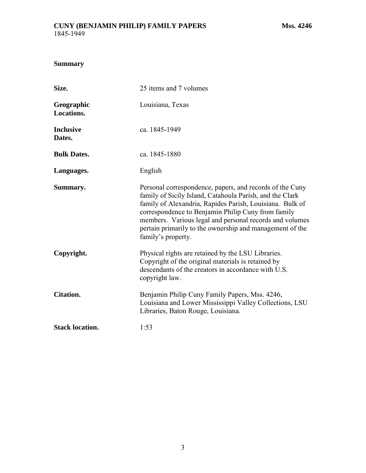# <span id="page-2-0"></span>**Summary**

| Size.                      | 25 items and 7 volumes                                                                                                                                                                                                                                                                                                                                                              |  |
|----------------------------|-------------------------------------------------------------------------------------------------------------------------------------------------------------------------------------------------------------------------------------------------------------------------------------------------------------------------------------------------------------------------------------|--|
| Geographic<br>Locations.   | Louisiana, Texas                                                                                                                                                                                                                                                                                                                                                                    |  |
| <b>Inclusive</b><br>Dates. | ca. 1845-1949                                                                                                                                                                                                                                                                                                                                                                       |  |
| <b>Bulk Dates.</b>         | ca. 1845-1880                                                                                                                                                                                                                                                                                                                                                                       |  |
| Languages.                 | English                                                                                                                                                                                                                                                                                                                                                                             |  |
| Summary.                   | Personal correspondence, papers, and records of the Cuny<br>family of Sicily Island, Catahoula Parish, and the Clark<br>family of Alexandria, Rapides Parish, Louisiana. Bulk of<br>correspondence to Benjamin Philip Cuny from family<br>members. Various legal and personal records and volumes<br>pertain primarily to the ownership and management of the<br>family's property. |  |
| Copyright.                 | Physical rights are retained by the LSU Libraries.<br>Copyright of the original materials is retained by<br>descendants of the creators in accordance with U.S.<br>copyright law.                                                                                                                                                                                                   |  |
| <b>Citation.</b>           | Benjamin Philip Cuny Family Papers, Mss. 4246,<br>Louisiana and Lower Mississippi Valley Collections, LSU<br>Libraries, Baton Rouge, Louisiana.                                                                                                                                                                                                                                     |  |
| <b>Stack location.</b>     | 1:53                                                                                                                                                                                                                                                                                                                                                                                |  |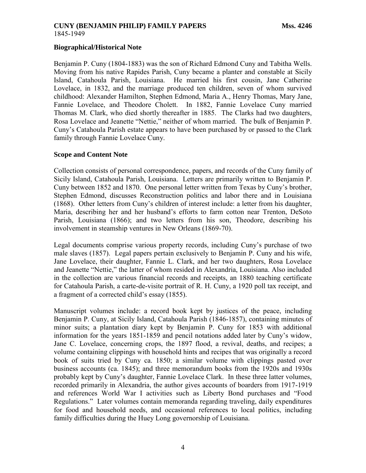# <span id="page-3-0"></span>**CUNY (BENJAMIN PHILIP) FAMILY PAPERS Mss. 4246** 1845-1949

### **Biographical/Historical Note**

Benjamin P. Cuny (1804-1883) was the son of Richard Edmond Cuny and Tabitha Wells. Moving from his native Rapides Parish, Cuny became a planter and constable at Sicily Island, Catahoula Parish, Louisiana. He married his first cousin, Jane Catherine Lovelace, in 1832, and the marriage produced ten children, seven of whom survived childhood: Alexander Hamilton, Stephen Edmond, Maria A., Henry Thomas, Mary Jane, Fannie Lovelace, and Theodore Cholett. In 1882, Fannie Lovelace Cuny married Thomas M. Clark, who died shortly thereafter in 1885. The Clarks had two daughters, Rosa Lovelace and Jeanette "Nettie," neither of whom married. The bulk of Benjamin P. Cuny's Catahoula Parish estate appears to have been purchased by or passed to the Clark family through Fannie Lovelace Cuny.

### **Scope and Content Note**

Collection consists of personal correspondence, papers, and records of the Cuny family of Sicily Island, Catahoula Parish, Louisiana. Letters are primarily written to Benjamin P. Cuny between 1852 and 1870. One personal letter written from Texas by Cuny's brother, Stephen Edmond, discusses Reconstruction politics and labor there and in Louisiana (1868). Other letters from Cuny's children of interest include: a letter from his daughter, Maria, describing her and her husband's efforts to farm cotton near Trenton, DeSoto Parish, Louisiana (1866); and two letters from his son, Theodore, describing his involvement in steamship ventures in New Orleans (1869-70).

Legal documents comprise various property records, including Cuny's purchase of two male slaves (1857). Legal papers pertain exclusively to Benjamin P. Cuny and his wife, Jane Lovelace, their daughter, Fannie L. Clark, and her two daughters, Rosa Lovelace and Jeanette "Nettie," the latter of whom resided in Alexandria, Louisiana. Also included in the collection are various financial records and receipts, an 1880 teaching certificate for Catahoula Parish, a carte-de-visite portrait of R. H. Cuny, a 1920 poll tax receipt, and a fragment of a corrected child's essay (1855).

Manuscript volumes include: a record book kept by justices of the peace, including Benjamin P. Cuny, at Sicily Island, Catahoula Parish (1846-1857), containing minutes of minor suits; a plantation diary kept by Benjamin P. Cuny for 1853 with additional information for the years 1851-1859 and pencil notations added later by Cuny's widow, Jane C. Lovelace, concerning crops, the 1897 flood, a revival, deaths, and recipes; a volume containing clippings with household hints and recipes that was originally a record book of suits tried by Cuny ca. 1850; a similar volume with clippings pasted over business accounts (ca. 1845); and three memorandum books from the 1920s and 1930s probably kept by Cuny's daughter, Fannie Lovelace Clark. In these three latter volumes, recorded primarily in Alexandria, the author gives accounts of boarders from 1917-1919 and references World War I activities such as Liberty Bond purchases and "Food Regulations." Later volumes contain memoranda regarding traveling, daily expenditures for food and household needs, and occasional references to local politics, including family difficulties during the Huey Long governorship of Louisiana.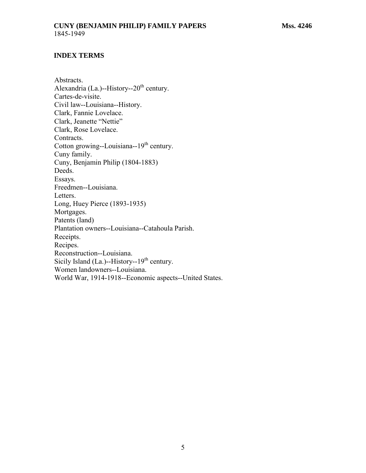### <span id="page-4-0"></span>**CUNY (BENJAMIN PHILIP) FAMILY PAPERS Mss. 4246** 1845-1949

#### **INDEX TERMS**

Abstracts. Alexandria (La.)--History--20<sup>th</sup> century. Cartes-de-visite. Civil law--Louisiana--History. Clark, Fannie Lovelace. Clark, Jeanette "Nettie" Clark, Rose Lovelace. Contracts. Cotton growing--Louisiana-- $19<sup>th</sup>$  century. Cuny family. Cuny, Benjamin Philip (1804-1883) Deeds. Essays. Freedmen--Louisiana. Letters. Long, Huey Pierce (1893-1935) Mortgages. Patents (land) Plantation owners--Louisiana--Catahoula Parish. Receipts. Recipes. Reconstruction--Louisiana. Sicily Island (La.)--History--19<sup>th</sup> century. Women landowners--Louisiana. World War, 1914-1918--Economic aspects--United States.